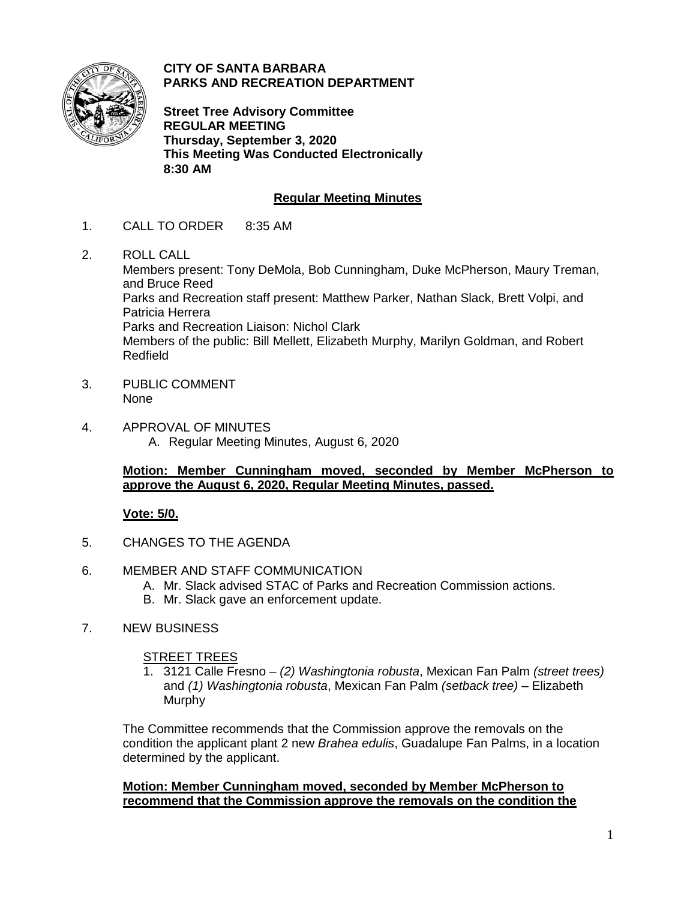

**CITY OF SANTA BARBARA PARKS AND RECREATION DEPARTMENT**

**Street Tree Advisory Committee REGULAR MEETING Thursday, September 3, 2020 This Meeting Was Conducted Electronically 8:30 AM**

# **Regular Meeting Minutes**

- 1. CALL TO ORDER 8:35 AM
- 2. ROLL CALL

Members present: Tony DeMola, Bob Cunningham, Duke McPherson, Maury Treman, and Bruce Reed Parks and Recreation staff present: Matthew Parker, Nathan Slack, Brett Volpi, and Patricia Herrera Parks and Recreation Liaison: Nichol Clark Members of the public: Bill Mellett, Elizabeth Murphy, Marilyn Goldman, and Robert Redfield

- 3. PUBLIC COMMENT None
- 4. APPROVAL OF MINUTES A. Regular Meeting Minutes, August 6, 2020

# **Motion: Member Cunningham moved, seconded by Member McPherson to approve the August 6, 2020, Regular Meeting Minutes, passed.**

# **Vote: 5/0.**

- 5. CHANGES TO THE AGENDA
- 6. MEMBER AND STAFF COMMUNICATION
	- A. Mr. Slack advised STAC of Parks and Recreation Commission actions.
	- B. Mr. Slack gave an enforcement update.
- 7. NEW BUSINESS

# STREET TREES

1. 3121 Calle Fresno – *(2) Washingtonia robusta*, Mexican Fan Palm *(street trees)* and *(1) Washingtonia robusta*, Mexican Fan Palm *(setback tree)* – Elizabeth Murphy

The Committee recommends that the Commission approve the removals on the condition the applicant plant 2 new *Brahea edulis*, Guadalupe Fan Palms, in a location determined by the applicant.

### **Motion: Member Cunningham moved, seconded by Member McPherson to recommend that the Commission approve the removals on the condition the**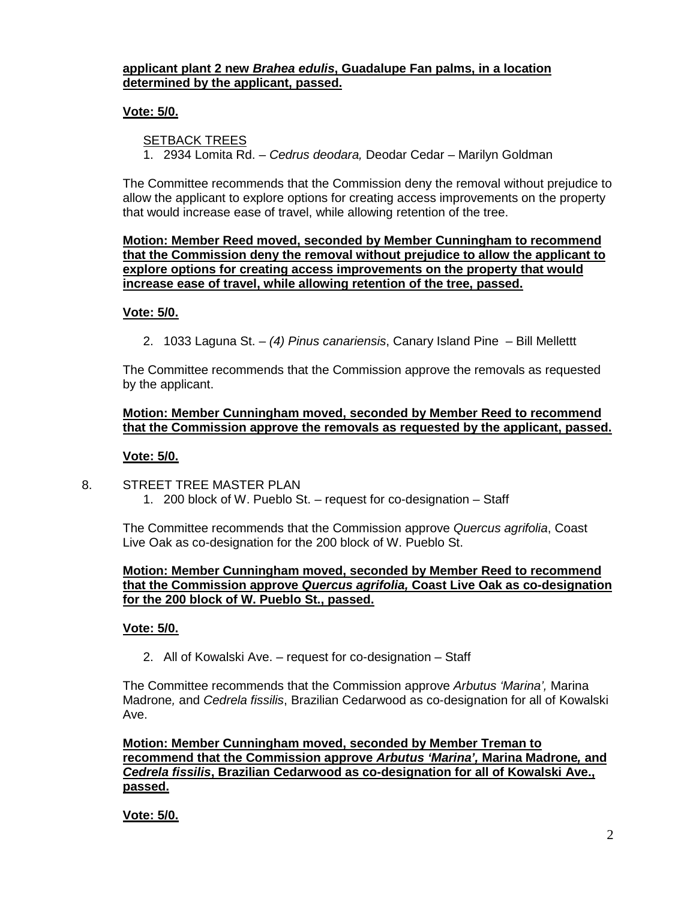# **applicant plant 2 new** *Brahea edulis***, Guadalupe Fan palms, in a location determined by the applicant, passed.**

# **Vote: 5/0.**

## SETBACK TREES

1. 2934 Lomita Rd. – *Cedrus deodara,* Deodar Cedar – Marilyn Goldman

The Committee recommends that the Commission deny the removal without prejudice to allow the applicant to explore options for creating access improvements on the property that would increase ease of travel, while allowing retention of the tree.

**Motion: Member Reed moved, seconded by Member Cunningham to recommend that the Commission deny the removal without prejudice to allow the applicant to explore options for creating access improvements on the property that would increase ease of travel, while allowing retention of the tree, passed.** 

#### **Vote: 5/0.**

2. 1033 Laguna St. – *(4) Pinus canariensis*, Canary Island Pine – Bill Mellettt

The Committee recommends that the Commission approve the removals as requested by the applicant.

### **Motion: Member Cunningham moved, seconded by Member Reed to recommend that the Commission approve the removals as requested by the applicant, passed.**

#### **Vote: 5/0.**

8. STREET TREE MASTER PLAN 1. 200 block of W. Pueblo St. – request for co-designation – Staff

The Committee recommends that the Commission approve *Quercus agrifolia*, Coast Live Oak as co-designation for the 200 block of W. Pueblo St.

### **Motion: Member Cunningham moved, seconded by Member Reed to recommend that the Commission approve** *Quercus agrifolia,* **Coast Live Oak as co-designation for the 200 block of W. Pueblo St., passed.**

#### **Vote: 5/0.**

2. All of Kowalski Ave. – request for co-designation – Staff

The Committee recommends that the Commission approve *Arbutus 'Marina',* Marina Madrone*,* and *Cedrela fissilis*, Brazilian Cedarwood as co-designation for all of Kowalski Ave.

**Motion: Member Cunningham moved, seconded by Member Treman to recommend that the Commission approve** *Arbutus 'Marina',* **Marina Madrone***,* **and**  *Cedrela fissilis***, Brazilian Cedarwood as co-designation for all of Kowalski Ave., passed.** 

**Vote: 5/0.**